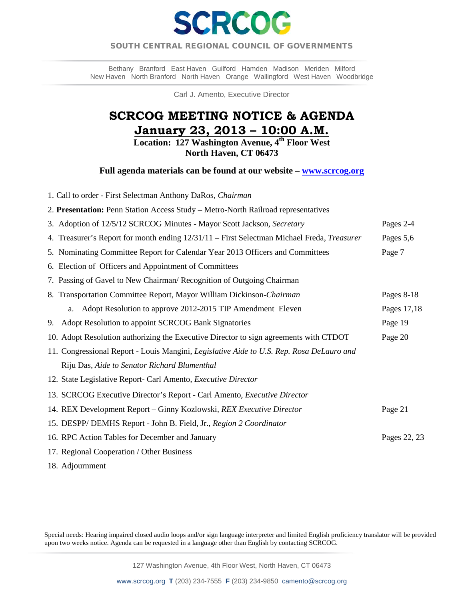

# SOUTH CENTRAL REGIONAL COUNCIL OF GOVERNMENTS  $\overline{a}$

Bethany Branford East Haven Guilford Hamden Madison Meriden Milford New Haven North Branford North Haven Orange Wallingford West Haven Woodbridge

Carl J. Amento, Executive Director

# **SCRCOG MEETING NOTICE & AGENDA January 23, 2013 – 10:00 A.M.**

**Location: 127 Washington Avenue, 4th Floor West North Haven, CT 06473** 

**Full agenda materials can be found at our website – [www.scrcog.org](http://www.scrcog.org/)** 

- 1. Call to order First Selectman Anthony DaRos*, Chairman* 2. **Presentation:** Penn Station Access Study – Metro-North Railroad representatives 3. Adoption of 12/5/12 SCRCOG Minutes - Mayor Scott Jackson*, Secretary* Pages 2-4 4. Treasurer's Report for month ending 12/31/11 – First Selectman Michael Freda, *Treasurer* Pages 5,6 5. Nominating Committee Report for Calendar Year 2013 Officers and Committees Page 7 6. Election of Officers and Appointment of Committees 7. Passing of Gavel to New Chairman/ Recognition of Outgoing Chairman 8. Transportation Committee Report*,* Mayor William Dickinson-*Chairman* Pages 8-18 a. Adopt Resolution to approve 2012-2015 TIP Amendment Eleven Pages 17,18 9. Adopt Resolution to appoint SCRCOG Bank Signatories Page 19 10. Adopt Resolution authorizing the Executive Director to sign agreements with CTDOT Page 20 11. Congressional Report - Louis Mangini*, Legislative Aide to U.S. Rep. Rosa DeLauro and* Riju Das*, Aide to Senator Richard Blumenthal*  12. State Legislative Report- Carl Amento*, Executive Director* 13. SCRCOG Executive Director's Report - Carl Amento, *Executive Director* 14. REX Development Report – Ginny Kozlowski, *REX Executive Director* Page 21 15. DESPP/ DEMHS Report - John B. Field, Jr.*, Region 2 Coordinator*  16. RPC Action Tables for December and January Pages 22, 23 17. Regional Cooperation / Other Business
- 18. Adjournment

Special needs: Hearing impaired closed audio loops and/or sign language interpreter and limited English proficiency translator will be provided upon two weeks notice. Agenda can be requested in a language other than English by contacting SCRCOG.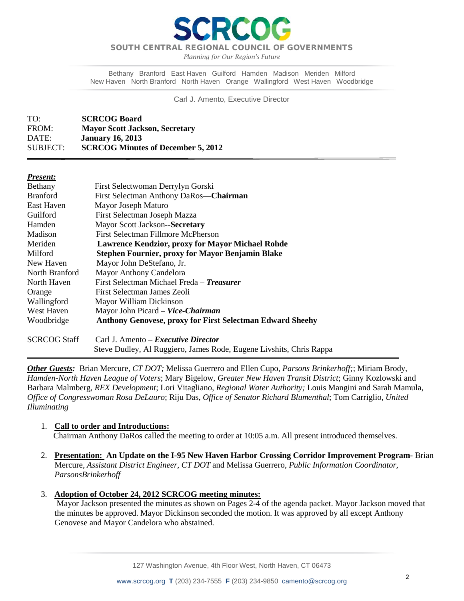

*Planning for Our Region's Future*

Bethany Branford East Haven Guilford Hamden Madison Meriden Milford New Haven North Branford North Haven Orange Wallingford West Haven Woodbridge

### Carl J. Amento, Executive Director

| TO:      | <b>SCRCOG Board</b>                       |
|----------|-------------------------------------------|
| FROM:    | <b>Mayor Scott Jackson, Secretary</b>     |
| DATE:    | <b>January 16, 2013</b>                   |
| SUBJECT: | <b>SCRCOG Minutes of December 5, 2012</b> |

### *Present:*

 $\overline{\phantom{a}}$ 

| Bethany         | First Selectwoman Derrylyn Gorski                                |
|-----------------|------------------------------------------------------------------|
| <b>Branford</b> | First Selectman Anthony DaRos-Chairman                           |
| East Haven      | Mayor Joseph Maturo                                              |
| Guilford        | First Selectman Joseph Mazza                                     |
| Hamden          | Mayor Scott Jackson--Secretary                                   |
| Madison         | First Selectman Fillmore McPherson                               |
| Meriden         | <b>Lawrence Kendzior, proxy for Mayor Michael Rohde</b>          |
| Milford         | <b>Stephen Fournier, proxy for Mayor Benjamin Blake</b>          |
| New Haven       | Mayor John DeStefano, Jr.                                        |
| North Branford  | <b>Mayor Anthony Candelora</b>                                   |
| North Haven     | First Selectman Michael Freda - Treasurer                        |
| Orange          | First Selectman James Zeoli                                      |
| Wallingford     | Mayor William Dickinson                                          |
| West Haven      | Mayor John Picard – Vice-Chairman                                |
| Woodbridge      | <b>Anthony Genovese, proxy for First Selectman Edward Sheehy</b> |
|                 |                                                                  |
|                 |                                                                  |

SCRCOG Staff Carl J. Amento – *Executive Director* Steve Dudley, Al Ruggiero, James Rode, Eugene Livshits, Chris Rappa

*Other Guests:* Brian Mercure*, CT DOT;* Melissa Guerrero and Ellen Cupo*, Parsons Brinkerhoff;*; Miriam Brody, *Hamden-North Haven League of Voters*; Mary Bigelow, *Greater New Haven Transit District*; Ginny Kozlowski and Barbara Malmberg, *REX Development*; Lori Vitagliano, *Regional Water Authority;* Louis Mangini and Sarah Mamula, *Office of Congresswoman Rosa DeLauro*; Riju Das, *Office of Senator Richard Blumenthal*; Tom Carriglio, *United Illuminating*

### 1. **Call to order and Introductions:**

Chairman Anthony DaRos called the meeting to order at 10:05 a.m. All present introduced themselves.

- 2. **Presentation: An Update on the I-95 New Haven Harbor Crossing Corridor Improvement Program-** Brian Mercure, *Assistant District Engineer, CT DOT* and Melissa Guerrero*, Public Information Coordinator, ParsonsBrinkerhoff*
- 3. **Adoption of October 24, 2012 SCRCOG meeting minutes:**

Mayor Jackson presented the minutes as shown on Pages 2-4 of the agenda packet. Mayor Jackson moved that the minutes be approved. Mayor Dickinson seconded the motion. It was approved by all except Anthony Genovese and Mayor Candelora who abstained.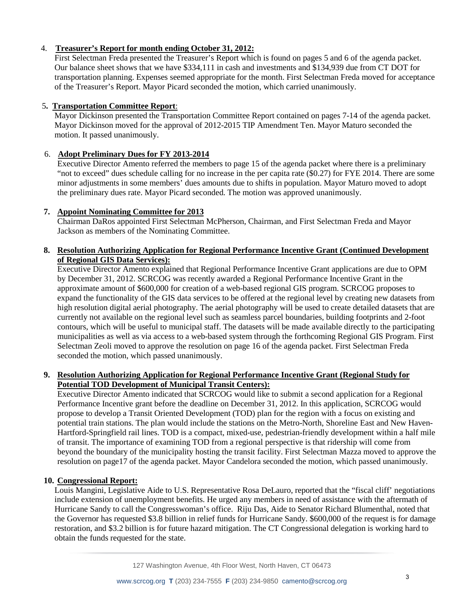# 4. **Treasurer's Report for month ending October 31, 2012:**

First Selectman Freda presented the Treasurer's Report which is found on pages 5 and 6 of the agenda packet. Our balance sheet shows that we have \$334,111 in cash and investments and \$134,939 due from CT DOT for transportation planning. Expenses seemed appropriate for the month. First Selectman Freda moved for acceptance of the Treasurer's Report. Mayor Picard seconded the motion, which carried unanimously.

## 5**. Transportation Committee Report**:

Mayor Dickinson presented the Transportation Committee Report contained on pages 7-14 of the agenda packet. Mayor Dickinson moved for the approval of 2012-2015 TIP Amendment Ten. Mayor Maturo seconded the motion. It passed unanimously.

# 6. **Adopt Preliminary Dues for FY 2013-2014**

Executive Director Amento referred the members to page 15 of the agenda packet where there is a preliminary "not to exceed" dues schedule calling for no increase in the per capita rate (\$0.27) for FYE 2014. There are some minor adjustments in some members' dues amounts due to shifts in population. Mayor Maturo moved to adopt the preliminary dues rate. Mayor Picard seconded. The motion was approved unanimously.

# **7. Appoint Nominating Committee for 2013**

Chairman DaRos appointed First Selectman McPherson, Chairman, and First Selectman Freda and Mayor Jackson as members of the Nominating Committee.

# **8. Resolution Authorizing Application for Regional Performance Incentive Grant (Continued Development of Regional GIS Data Services):**

Executive Director Amento explained that Regional Performance Incentive Grant applications are due to OPM by December 31, 2012. SCRCOG was recently awarded a Regional Performance Incentive Grant in the approximate amount of \$600,000 for creation of a web-based regional GIS program. SCRCOG proposes to expand the functionality of the GIS data services to be offered at the regional level by creating new datasets from high resolution digital aerial photography. The aerial photography will be used to create detailed datasets that are currently not available on the regional level such as seamless parcel boundaries, building footprints and 2-foot contours, which will be useful to municipal staff. The datasets will be made available directly to the participating municipalities as well as via access to a web-based system through the forthcoming Regional GIS Program. First Selectman Zeoli moved to approve the resolution on page 16 of the agenda packet. First Selectman Freda seconded the motion, which passed unanimously.

# **9. Resolution Authorizing Application for Regional Performance Incentive Grant (Regional Study for Potential TOD Development of Municipal Transit Centers):**

Executive Director Amento indicated that SCRCOG would like to submit a second application for a Regional Performance Incentive grant before the deadline on December 31, 2012. In this application, SCRCOG would propose to develop a Transit Oriented Development (TOD) plan for the region with a focus on existing and potential train stations. The plan would include the stations on the Metro-North, Shoreline East and New Haven-Hartford-Springfield rail lines. TOD is a compact, mixed-use, pedestrian-friendly development within a half mile of transit. The importance of examining TOD from a regional perspective is that ridership will come from beyond the boundary of the municipality hosting the transit facility. First Selectman Mazza moved to approve the resolution on page17 of the agenda packet. Mayor Candelora seconded the motion, which passed unanimously.

## **10. Congressional Report:**

Louis Mangini, Legislative Aide to U.S. Representative Rosa DeLauro, reported that the "fiscal cliff' negotiations include extension of unemployment benefits. He urged any members in need of assistance with the aftermath of Hurricane Sandy to call the Congresswoman's office. Riju Das, Aide to Senator Richard Blumenthal, noted that the Governor has requested \$3.8 billion in relief funds for Hurricane Sandy. \$600,000 of the request is for damage restoration, and \$3.2 billion is for future hazard mitigation. The CT Congressional delegation is working hard to obtain the funds requested for the state.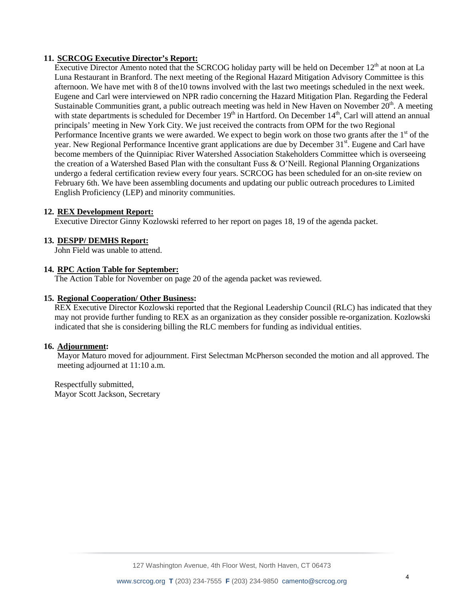## **11. SCRCOG Executive Director's Report:**

Executive Director Amento noted that the SCRCOG holiday party will be held on December 12<sup>th</sup> at noon at La Luna Restaurant in Branford. The next meeting of the Regional Hazard Mitigation Advisory Committee is this afternoon. We have met with 8 of the10 towns involved with the last two meetings scheduled in the next week. Eugene and Carl were interviewed on NPR radio concerning the Hazard Mitigation Plan. Regarding the Federal Sustainable Communities grant, a public outreach meeting was held in New Haven on November 20<sup>th</sup>. A meeting with state departments is scheduled for December  $19<sup>th</sup>$  in Hartford. On December  $14<sup>th</sup>$ , Carl will attend an annual principals' meeting in New York City. We just received the contracts from OPM for the two Regional Performance Incentive grants we were awarded. We expect to begin work on those two grants after the  $1<sup>st</sup>$  of the year. New Regional Performance Incentive grant applications are due by December 31<sup>st</sup>. Eugene and Carl have become members of the Quinnipiac River Watershed Association Stakeholders Committee which is overseeing the creation of a Watershed Based Plan with the consultant Fuss & O'Neill. Regional Planning Organizations undergo a federal certification review every four years. SCRCOG has been scheduled for an on-site review on February 6th. We have been assembling documents and updating our public outreach procedures to Limited English Proficiency (LEP) and minority communities.

### **12. REX Development Report:**

Executive Director Ginny Kozlowski referred to her report on pages 18, 19 of the agenda packet.

### **13. DESPP/ DEMHS Report:**

John Field was unable to attend.

### **14. RPC Action Table for September:**

The Action Table for November on page 20 of the agenda packet was reviewed.

### **15. Regional Cooperation/ Other Business:**

REX Executive Director Kozlowski reported that the Regional Leadership Council (RLC) has indicated that they may not provide further funding to REX as an organization as they consider possible re-organization. Kozlowski indicated that she is considering billing the RLC members for funding as individual entities.

### **16. Adjournment:**

Mayor Maturo moved for adjournment. First Selectman McPherson seconded the motion and all approved. The meeting adjourned at 11:10 a.m.

Respectfully submitted, Mayor Scott Jackson, Secretary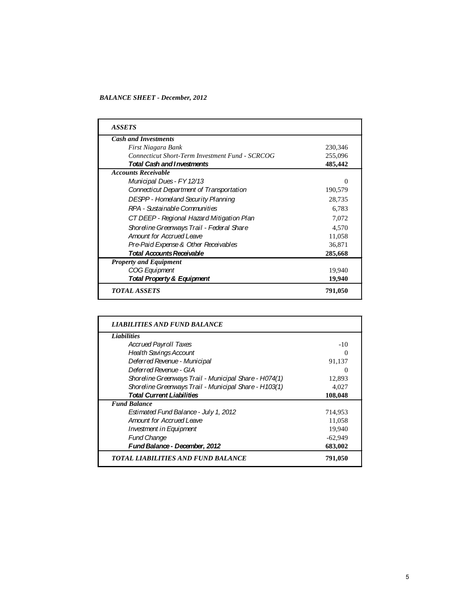*BALANCE SHEET - December, 2012*

| <b>ASSETS</b>                                          |          |
|--------------------------------------------------------|----------|
| <b>Cash and Investments</b>                            |          |
| First Niagara Bank                                     | 230,346  |
| <b>Connecticut Short-Term Investment Fund - SCRCOG</b> | 255,096  |
| <b>Total Cash and Investments</b>                      | 485,442  |
| <b>Accounts Receivable</b>                             |          |
| Municipal Dues - FY 12/13                              | $\Omega$ |
| Connecticut Department of Transportation               | 190,579  |
| <b>DESPP - Homeland Security Planning</b>              | 28,735   |
| RPA - Sustainable Communities                          | 6,783    |
| CT DEEP - Regional Hazard Mitigation Plan              | 7,072    |
| Shoreline Greenways Trail - Federal Share              | 4,570    |
| <b>Amount for Accrued Leave</b>                        | 11,058   |
| Pre-Paid Expense & Other Receivables                   | 36,871   |
| <b>Total Accounts Receivable</b>                       | 285,668  |
| <b>Property and Equipment</b>                          |          |
| COG Equipment                                          | 19,940   |
| Total Property & Equipment                             | 19,940   |
| <b>TOTAL ASSETS</b>                                    | 791,050  |

| <b>Liabilities</b>                                    |           |
|-------------------------------------------------------|-----------|
| <b>Accrued Payroll Taxes</b>                          | $-10$     |
| <b>Health Savings Account</b>                         | 0         |
| Deferred Revenue - Municipal                          | 91,137    |
| Deferred Revenue - GIA                                | $\Omega$  |
| Shoreline Greenways Trail - Municipal Share - H074(1) | 12,893    |
| Shoreline Greenways Trail - Municipal Share - H103(1) | 4,027     |
| <b>Total Current Liabilities</b>                      | 108,048   |
| <b>Fund Balance</b>                                   |           |
| Estimated Fund Balance - July 1, 2012                 | 714,953   |
| Amount for Accrued Leave                              | 11,058    |
| Investment in Equipment                               | 19.940    |
| <b>Fund Change</b>                                    | $-62,949$ |
| Fund Balance - December, 2012                         | 683,002   |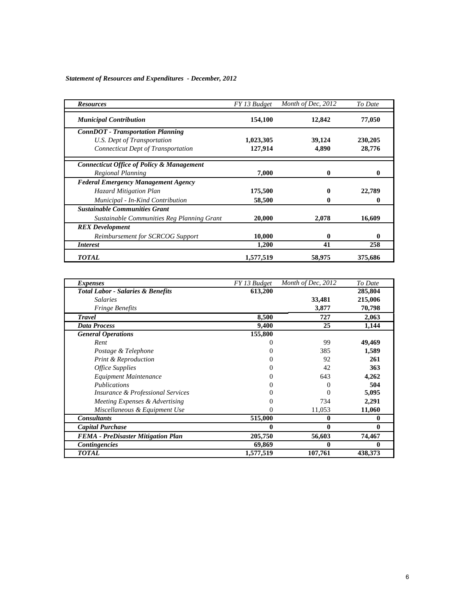*Statement of Resources and Expenditures - December, 2012*

| <b>Resources</b>                           | FY 13 Budget | Month of Dec, 2012 | To Date |
|--------------------------------------------|--------------|--------------------|---------|
| <b>Municipal Contribution</b>              | 154,100      | 12,842             | 77,050  |
| <b>ConnDOT</b> - Transportation Planning   |              |                    |         |
| U.S. Dept of Transportation                | 1,023,305    | 39,124             | 230,205 |
| <b>Connecticut Dept of Transportation</b>  | 127,914      | 4,890              | 28,776  |
| Connecticut Office of Policy & Management  |              |                    |         |
| Regional Planning                          | 7,000        | 0                  | o       |
| <b>Federal Emergency Management Agency</b> |              |                    |         |
| Hazard Mitigation Plan                     | 175,500      |                    | 22,789  |
| Municipal - In-Kind Contribution           | 58,500       | v                  | 0       |
| <b>Sustainable Communities Grant</b>       |              |                    |         |
| Sustainable Communities Reg Planning Grant | 20,000       | 2,078              | 16,609  |
| <b>REX</b> Development                     |              |                    |         |
| Reimbursement for SCRCOG Support           | 10,000       | 0                  | 0       |
| <i>Interest</i>                            | 1,200        | 41                 | 258     |
| <b>TOTAL</b>                               | 1,577,519    | 58,975             | 375,686 |

| <i>Expenses</i>                              | FY 13 Budget | Month of Dec, 2012 | To Date |
|----------------------------------------------|--------------|--------------------|---------|
| <b>Total Labor - Salaries &amp; Benefits</b> | 613,200      |                    | 285,804 |
| <i>Salaries</i>                              |              | 33,481             | 215,006 |
| <i>Fringe Benefits</i>                       |              | 3,877              | 70,798  |
| <b>Travel</b>                                | 8,500        | 727                | 2,063   |
| <b>Data Process</b>                          | 9,400        | 25                 | 1,144   |
| <b>General Operations</b>                    | 155,800      |                    |         |
| Rent                                         | $\theta$     | 99                 | 49,469  |
| Postage & Telephone                          |              | 385                | 1,589   |
| <b>Print &amp; Reproduction</b>              | 0            | 92                 | 261     |
| <b>Office Supplies</b>                       | 0            | 42                 | 363     |
| Equipment Maintenance                        |              | 643                | 4,262   |
| Publications                                 |              |                    | 504     |
| <i>Insurance &amp; Professional Services</i> |              | 0                  | 5,095   |
| Meeting Expenses & Advertising               | 0            | 734                | 2,291   |
| Miscellaneous & Equipment Use                | 0            | 11,053             | 11,060  |
| <b>Consultants</b>                           | 515,000      | 0                  | 0       |
| <b>Capital Purchase</b>                      | 0            | 0                  | 0       |
| <b>FEMA</b> - PreDisaster Mitigation Plan    | 205,750      | 56,603             | 74,467  |
| <b>Contingencies</b>                         | 69,869       | 0                  | o       |
| <b>TOTAL</b>                                 | 1,577,519    | 107,761            | 438,373 |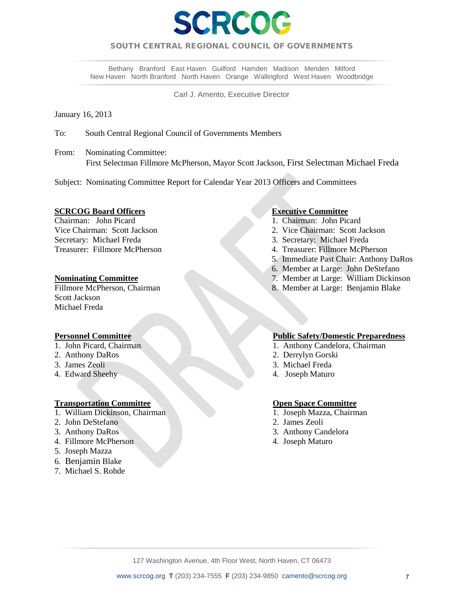

# SOUTH CENTRAL REGIONAL COUNCIL OF GOVERNMENTS  $\overline{a}$

Bethany Branford East Haven Guilford Hamden Madison Meriden Milford New Haven North Branford North Haven Orange Wallingford West Haven Woodbridge

Carl J. Amento, Executive Director

January 16, 2013

To: South Central Regional Council of Governments Members

From: Nominating Committee: First Selectman Fillmore McPherson, Mayor Scott Jackson, First Selectman Michael Freda

Subject: Nominating Committee Report for Calendar Year 2013 Officers and Committees

**SCRCOG Board Officers**<br>
Chairman: John Picard<br>
1. Chairman: John Picard<br>
1. Chairman: John Picard Chairman: John Picard 1. Chairman: John Picard 1. Chairman: John Picard 2. Vice Chairman: Scott Jackson Secretary: Michael Freda 3. Secretary: Michael Freda

Scott Jackson Michael Freda

- 
- 
- 
- 4. Edward Sheehy 4. Joseph Maturo

## **Transportation Committee <b>Committee Committee Committee Committee Committee Committee Committee Committee Committee Committee Committee Committee Committee Committee Committee Committee Committee Committee Committee Commi**

- 1. William Dickinson, Chairman 1. Joseph Mazza, Chairman 1. Joseph Mazza, Chairman
- 2. John DeStefano 2. James Zeoli
- 
- 4. Fillmore McPherson 4. Joseph Maturo
- 5. Joseph Mazza
- 6. Benjamin Blake
- 7. Michael S. Rohde

- 
- Vice Chairman: Scott Jackson 2. Vice Chairman: Scott Jackson
- 
- Treasurer: Fillmore McPherson 4. Treasurer: Fillmore McPherson
	- 5. Immediate Past Chair: Anthony DaRos
	- 6. Member at Large: John DeStefano
- **Nominating Committee** 7. Member at Large: William Dickinson<br>Fillmore McPherson, Chairman 8. Member at Large: Benjamin Blake
	- 8. Member at Large: Benjamin Blake

## **Personnel Committee Public Safety/Domestic Preparedness**

- 1. John Picard, Chairman 1. Anthony Candelora, Chairman 1.
- 2. Anthony DaRos 2. Derrylyn Gorski
- 3. James Zeoli 3. Michael Freda
	-

- 
- 
- 3. Anthony DaRos 3. Anthony Candelora
	-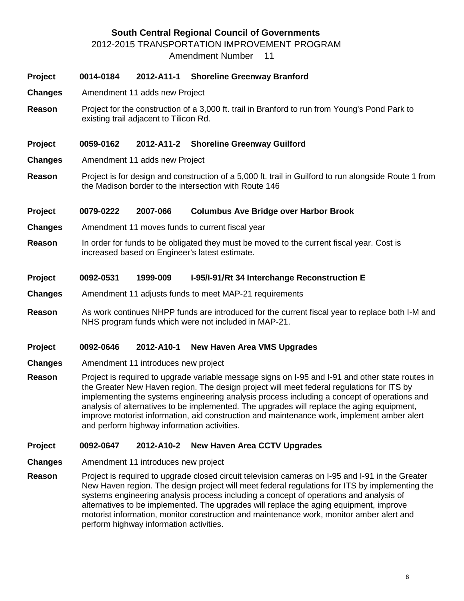# **South Central Regional Council of Governments**

2012-2015 TRANSPORTATION IMPROVEMENT PROGRAM

Amendment Number 11

# **Project 0014-0184 2012-A11-1 Shoreline Greenway Branford**

- **Changes** Amendment 11 adds new Project
- **Reason** Project for the construction of a 3,000 ft. trail in Branford to run from Young's Pond Park to existing trail adjacent to Tilicon Rd.

# **Project 0059-0162 2012-A11-2 Shoreline Greenway Guilford**

- **Changes** Amendment 11 adds new Project
- **Reason** Project is for design and construction of a 5,000 ft. trail in Guilford to run alongside Route 1 from the Madison border to the intersection with Route 146

# **Project 0079-0222 2007-066 Columbus Ave Bridge over Harbor Brook**

- **Changes** Amendment 11 moves funds to current fiscal year
- **Reason** In order for funds to be obligated they must be moved to the current fiscal year. Cost is increased based on Engineer's latest estimate.

## **Project 0092-0531 1999-009 I-95/I-91/Rt 34 Interchange Reconstruction E**

- **Changes** Amendment 11 adjusts funds to meet MAP-21 requirements
- **Reason** As work continues NHPP funds are introduced for the current fiscal year to replace both I-M and NHS program funds which were not included in MAP-21.

## **Project 0092-0646 2012-A10-1 New Haven Area VMS Upgrades**

- **Changes** Amendment 11 introduces new project
- **Reason** Project is required to upgrade variable message signs on I-95 and I-91 and other state routes in the Greater New Haven region. The design project will meet federal regulations for ITS by implementing the systems engineering analysis process including a concept of operations and analysis of alternatives to be implemented. The upgrades will replace the aging equipment, improve motorist information, aid construction and maintenance work, implement amber alert and perform highway information activities.

## **Project 0092-0647 2012-A10-2 New Haven Area CCTV Upgrades**

- **Changes** Amendment 11 introduces new project
- **Reason** Project is required to upgrade closed circuit television cameras on I-95 and I-91 in the Greater New Haven region. The design project will meet federal regulations for ITS by implementing the systems engineering analysis process including a concept of operations and analysis of alternatives to be implemented. The upgrades will replace the aging equipment, improve motorist information, monitor construction and maintenance work, monitor amber alert and perform highway information activities.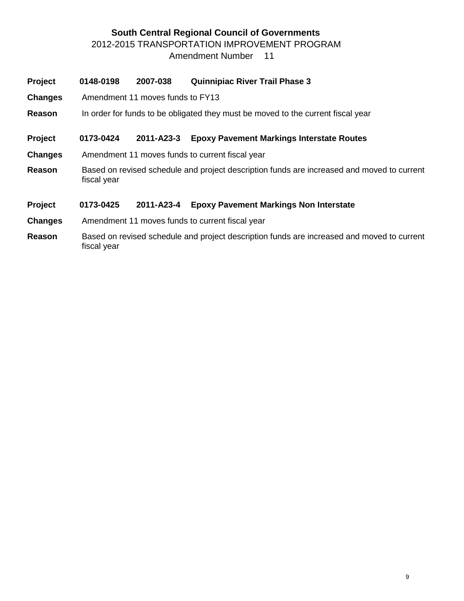# **South Central Regional Council of Governments** 2012-2015 TRANSPORTATION IMPROVEMENT PROGRAM

Amendment Number 11

| <b>Project</b> | 0148-0198                                                                        | 2007-038                                                                                   | <b>Quinnipiac River Trail Phase 3</b>                                                      |  |  |  |  |  |  |
|----------------|----------------------------------------------------------------------------------|--------------------------------------------------------------------------------------------|--------------------------------------------------------------------------------------------|--|--|--|--|--|--|
| <b>Changes</b> |                                                                                  | Amendment 11 moves funds to FY13                                                           |                                                                                            |  |  |  |  |  |  |
| Reason         | In order for funds to be obligated they must be moved to the current fiscal year |                                                                                            |                                                                                            |  |  |  |  |  |  |
| Project        | 0173-0424                                                                        | 2011-A23-3                                                                                 | <b>Epoxy Pavement Markings Interstate Routes</b>                                           |  |  |  |  |  |  |
| <b>Changes</b> |                                                                                  |                                                                                            | Amendment 11 moves funds to current fiscal year                                            |  |  |  |  |  |  |
| Reason         | fiscal year                                                                      | Based on revised schedule and project description funds are increased and moved to current |                                                                                            |  |  |  |  |  |  |
| <b>Project</b> | 0173-0425                                                                        | 2011-A23-4                                                                                 | <b>Epoxy Pavement Markings Non Interstate</b>                                              |  |  |  |  |  |  |
| <b>Changes</b> |                                                                                  |                                                                                            | Amendment 11 moves funds to current fiscal year                                            |  |  |  |  |  |  |
| Reason         |                                                                                  |                                                                                            | Based on revised schedule and project description funds are increased and moved to current |  |  |  |  |  |  |

fiscal year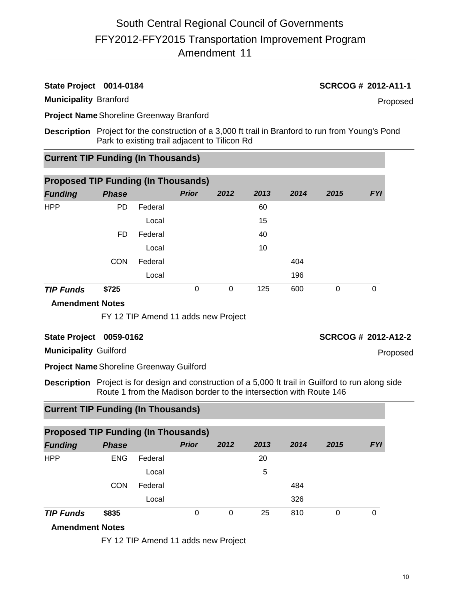# **State Project 0014-0184 SCRCOG # 2012-A11-1**

# **Municipality** Branford

Proposed

**Project Name**Shoreline Greenway Branford

**Description** Project for the construction of a 3,000 ft trail in Branford to run from Young's Pond Park to existing trail adjacent to Tilicon Rd

# **Current TIP Funding (In Thousands)**

| <b>Proposed TIP Funding (In Thousands)</b> |              |         |              |      |      |      |      |            |  |  |
|--------------------------------------------|--------------|---------|--------------|------|------|------|------|------------|--|--|
| <b>Funding</b>                             | <b>Phase</b> |         | <b>Prior</b> | 2012 | 2013 | 2014 | 2015 | <b>FYI</b> |  |  |
| <b>HPP</b>                                 | <b>PD</b>    | Federal |              |      | 60   |      |      |            |  |  |
|                                            |              | Local   |              |      | 15   |      |      |            |  |  |
|                                            | FD.          | Federal |              |      | 40   |      |      |            |  |  |
|                                            |              | Local   |              |      | 10   |      |      |            |  |  |
|                                            | <b>CON</b>   | Federal |              |      |      | 404  |      |            |  |  |
|                                            |              | Local   |              |      |      | 196  |      |            |  |  |
| <b>TIP Funds</b>                           | \$725        |         | 0            | 0    | 125  | 600  | 0    | 0          |  |  |

## **Amendment Notes**

FY 12 TIP Amend 11 adds new Project

## **State Project 0059-0162 SCRCOG # 2012-A12-2**

Proposed

**Municipality** Guilford

**Project Name**Shoreline Greenway Guilford

**Description** Project is for design and construction of a 5,000 ft trail in Guilford to run along side Route 1 from the Madison border to the intersection with Route 146

# **Current TIP Funding (In Thousands)**

| <b>Proposed TIP Funding (In Thousands)</b> |              |         |              |      |      |      |      |            |  |  |
|--------------------------------------------|--------------|---------|--------------|------|------|------|------|------------|--|--|
| <b>Funding</b>                             | <b>Phase</b> |         | <b>Prior</b> | 2012 | 2013 | 2014 | 2015 | <b>FYI</b> |  |  |
| <b>HPP</b>                                 | <b>ENG</b>   | Federal |              |      | 20   |      |      |            |  |  |
|                                            |              | Local   |              |      | 5    |      |      |            |  |  |
|                                            | <b>CON</b>   | Federal |              |      |      | 484  |      |            |  |  |
|                                            |              | Local   |              |      |      | 326  |      |            |  |  |
| <b>TIP Funds</b>                           | \$835        |         | 0            | 0    | 25   | 810  | 0    | 0          |  |  |

# **Amendment Notes**

FY 12 TIP Amend 11 adds new Project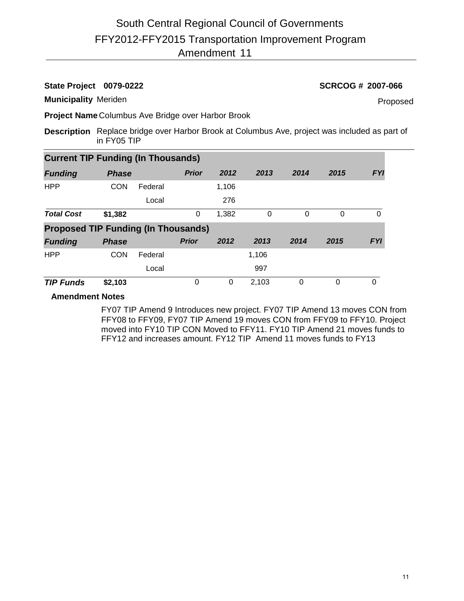# **State Project 0079-0222 SCRCOG # 2007-066**

**Municipality** Meriden

Proposed

**Project Name** Columbus Ave Bridge over Harbor Brook

**Description** Replace bridge over Harbor Brook at Columbus Ave, project was included as part of in FY05 TIP

| <b>Current TIP Funding (In Thousands)</b>  |              |         |              |       |       |          |          |            |  |  |  |
|--------------------------------------------|--------------|---------|--------------|-------|-------|----------|----------|------------|--|--|--|
| <b>Funding</b>                             | <b>Phase</b> |         | <b>Prior</b> | 2012  | 2013  | 2014     | 2015     | <b>FYI</b> |  |  |  |
| <b>HPP</b>                                 | <b>CON</b>   | Federal |              | 1,106 |       |          |          |            |  |  |  |
|                                            |              | Local   |              | 276   |       |          |          |            |  |  |  |
| <b>Total Cost</b>                          | \$1,382      |         | 0            | 1,382 | 0     | $\Omega$ | $\Omega$ | 0          |  |  |  |
| <b>Proposed TIP Funding (In Thousands)</b> |              |         |              |       |       |          |          |            |  |  |  |
| <b>Funding</b>                             | <b>Phase</b> |         | <b>Prior</b> | 2012  | 2013  | 2014     | 2015     | <b>FYI</b> |  |  |  |
| <b>HPP</b>                                 | <b>CON</b>   | Federal |              |       | 1,106 |          |          |            |  |  |  |
|                                            |              | Local   |              |       | 997   |          |          |            |  |  |  |
| <b>TIP Funds</b>                           | \$2,103      |         | 0            | 0     | 2,103 | 0        | 0        | $\Omega$   |  |  |  |

# **Amendment Notes**

FY07 TIP Amend 9 Introduces new project. FY07 TIP Amend 13 moves CON from FFY08 to FFY09, FY07 TIP Amend 19 moves CON from FFY09 to FFY10. Project moved into FY10 TIP CON Moved to FFY11. FY10 TIP Amend 21 moves funds to FFY12 and increases amount. FY12 TIP Amend 11 moves funds to FY13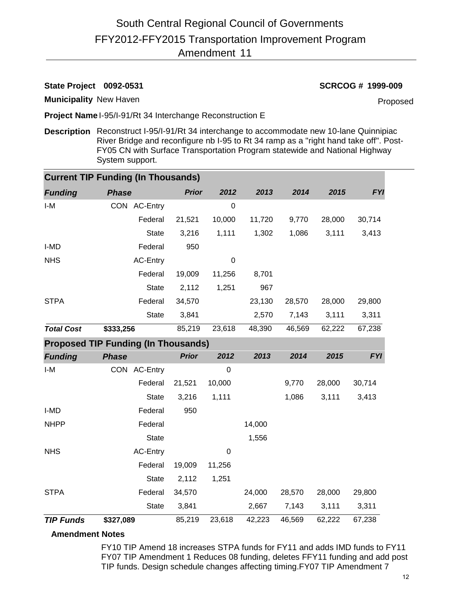# **State Project 0092-0531 SCRCOG # 1999-009**

**Municipality** New Haven

Proposed

**Project Name** I-95/I-91/Rt 34 Interchange Reconstruction E

**Description** Reconstruct I-95/I-91/Rt 34 interchange to accommodate new 10-lane Quinnipiac River Bridge and reconfigure nb I-95 to Rt 34 ramp as a "right hand take off". Post-FY05 CN with Surface Transportation Program statewide and National Highway System support.

|                                            | <b>Current TIP Funding (In Thousands)</b> |              |             |        |        |        |            |  |  |  |  |  |
|--------------------------------------------|-------------------------------------------|--------------|-------------|--------|--------|--------|------------|--|--|--|--|--|
| <b>Funding</b>                             | <b>Phase</b>                              | <b>Prior</b> | 2012        | 2013   | 2014   | 2015   | <b>FYI</b> |  |  |  |  |  |
| I-M                                        | CON AC-Entry                              |              | $\Omega$    |        |        |        |            |  |  |  |  |  |
|                                            | Federal                                   | 21,521       | 10,000      | 11,720 | 9,770  | 28,000 | 30,714     |  |  |  |  |  |
|                                            | <b>State</b>                              | 3,216        | 1,111       | 1,302  | 1,086  | 3,111  | 3,413      |  |  |  |  |  |
| I-MD                                       | Federal                                   | 950          |             |        |        |        |            |  |  |  |  |  |
| <b>NHS</b>                                 | <b>AC-Entry</b>                           |              | 0           |        |        |        |            |  |  |  |  |  |
|                                            | Federal                                   | 19,009       | 11,256      | 8,701  |        |        |            |  |  |  |  |  |
|                                            | <b>State</b>                              | 2,112        | 1,251       | 967    |        |        |            |  |  |  |  |  |
| <b>STPA</b>                                | Federal                                   | 34,570       |             | 23,130 | 28,570 | 28,000 | 29,800     |  |  |  |  |  |
|                                            | <b>State</b>                              | 3,841        |             | 2,570  | 7,143  | 3,111  | 3,311      |  |  |  |  |  |
| <b>Total Cost</b>                          | \$333,256                                 | 85,219       | 23,618      | 48,390 | 46,569 | 62,222 | 67,238     |  |  |  |  |  |
| <b>Proposed TIP Funding (In Thousands)</b> |                                           |              |             |        |        |        |            |  |  |  |  |  |
| <b>Funding</b>                             | <b>Phase</b>                              | <b>Prior</b> | 2012        | 2013   | 2014   | 2015   | <b>FYI</b> |  |  |  |  |  |
| $I-M$                                      | CON AC-Entry                              |              | $\mathbf 0$ |        |        |        |            |  |  |  |  |  |
|                                            | Federal                                   | 21,521       | 10,000      |        | 9,770  | 28,000 | 30,714     |  |  |  |  |  |
|                                            | <b>State</b>                              | 3,216        | 1,111       |        | 1,086  | 3,111  | 3,413      |  |  |  |  |  |
| I-MD                                       | Federal                                   | 950          |             |        |        |        |            |  |  |  |  |  |
| <b>NHPP</b>                                | Federal                                   |              |             | 14,000 |        |        |            |  |  |  |  |  |
|                                            | <b>State</b>                              |              |             | 1,556  |        |        |            |  |  |  |  |  |
| <b>NHS</b>                                 | <b>AC-Entry</b>                           |              | 0           |        |        |        |            |  |  |  |  |  |
|                                            | Federal                                   | 19,009       | 11,256      |        |        |        |            |  |  |  |  |  |
|                                            | <b>State</b>                              | 2,112        | 1,251       |        |        |        |            |  |  |  |  |  |
| <b>STPA</b>                                | Federal                                   | 34,570       |             | 24,000 | 28,570 | 28,000 | 29,800     |  |  |  |  |  |
|                                            | <b>State</b>                              | 3,841        |             | 2,667  | 7,143  | 3,111  | 3,311      |  |  |  |  |  |
| <b>TIP Funds</b>                           | \$327,089                                 | 85,219       | 23,618      | 42,223 | 46,569 | 62,222 | 67,238     |  |  |  |  |  |

# **Amendment Notes**

FY10 TIP Amend 18 increases STPA funds for FY11 and adds IMD funds to FY11 FY07 TIP Amendment 1 Reduces 08 funding, deletes FFY11 funding and add post TIP funds. Design schedule changes affecting timing.FY07 TIP Amendment 7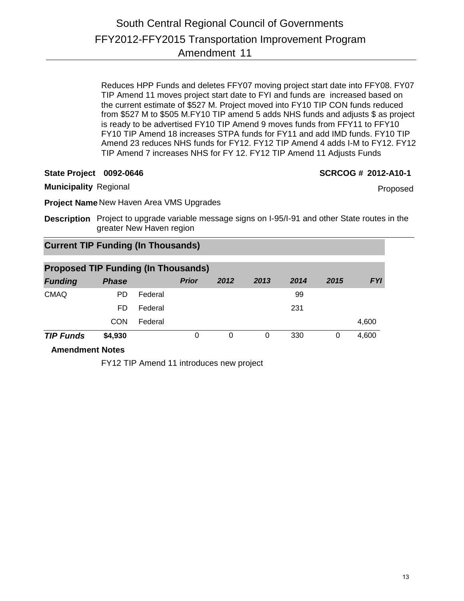Reduces HPP Funds and deletes FFY07 moving project start date into FFY08. FY07 TIP Amend 11 moves project start date to FYI and funds are increased based on the current estimate of \$527 M. Project moved into FY10 TIP CON funds reduced from \$527 M to \$505 M.FY10 TIP amend 5 adds NHS funds and adjusts \$ as project is ready to be advertised FY10 TIP Amend 9 moves funds from FFY11 to FFY10 FY10 TIP Amend 18 increases STPA funds for FY11 and add IMD funds. FY10 TIP Amend 23 reduces NHS funds for FY12. FY12 TIP Amend 4 adds I-M to FY12. FY12 TIP Amend 7 increases NHS for FY 12. FY12 TIP Amend 11 Adjusts Funds

**State Project 0092-0646 SCRCOG # 2012-A10-1**

Proposed

**Municipality** Regional

**Project Name** New Haven Area VMS Upgrades

**Description** Project to upgrade variable message signs on I-95/I-91 and other State routes in the greater New Haven region

# **Current TIP Funding (In Thousands)**

| <b>Proposed TIP Funding (In Thousands)</b> |              |         |              |          |      |      |      |            |  |
|--------------------------------------------|--------------|---------|--------------|----------|------|------|------|------------|--|
| <b>Funding</b>                             | <b>Phase</b> |         | <b>Prior</b> | 2012     | 2013 | 2014 | 2015 | <b>FYI</b> |  |
| <b>CMAQ</b>                                | PD.          | Federal |              |          |      | 99   |      |            |  |
|                                            | FD           | Federal |              |          |      | 231  |      |            |  |
|                                            | CON          | Federal |              |          |      |      |      | 4,600      |  |
| <b>TIP Funds</b>                           | \$4,930      |         | 0            | $\Omega$ | 0    | 330  | 0    | 4,600      |  |

**Amendment Notes**

FY12 TIP Amend 11 introduces new project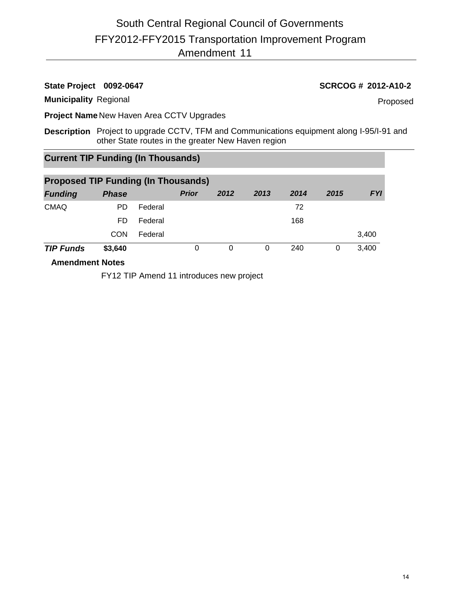# **State Project 0092-0647 SCRCOG # 2012-A10-2**

## **Municipality** Regional

Proposed

**Project Name** New Haven Area CCTV Upgrades

**Description** Project to upgrade CCTV, TFM and Communications equipment along I-95/I-91 and other State routes in the greater New Haven region

# **Current TIP Funding (In Thousands)**

| <b>Proposed TIP Funding (In Thousands)</b> |              |         |              |      |      |      |      |            |
|--------------------------------------------|--------------|---------|--------------|------|------|------|------|------------|
| <b>Funding</b>                             | <b>Phase</b> |         | <b>Prior</b> | 2012 | 2013 | 2014 | 2015 | <b>FYI</b> |
| <b>CMAQ</b>                                | PD.          | Federal |              |      |      | 72   |      |            |
|                                            | FD           | Federal |              |      |      | 168  |      |            |
|                                            | CON          | Federal |              |      |      |      |      | 3,400      |
| <b>TIP Funds</b>                           | \$3,640      |         | 0            | 0    | 0    | 240  | 0    | 3,400      |
| A see a se alian a set. Matta a l          |              |         |              |      |      |      |      |            |

**Amendment Notes**

FY12 TIP Amend 11 introduces new project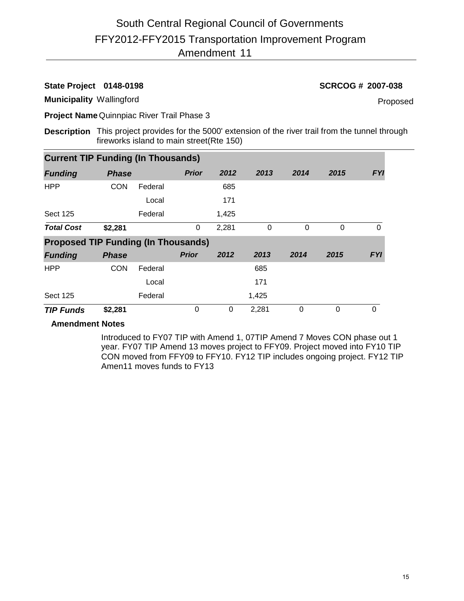**State Project 0148-0198 SCRCOG # 2007-038**

**Municipality** Wallingford

Proposed

**Project Name** Quinnpiac River Trail Phase 3

**Description** This project provides for the 5000' extension of the river trail from the tunnel through fireworks island to main street(Rte 150)

| <b>Current TIP Funding (In Thousands)</b>  |              |         |              |       |          |          |          |            |
|--------------------------------------------|--------------|---------|--------------|-------|----------|----------|----------|------------|
| <b>Funding</b>                             | <b>Phase</b> |         | <b>Prior</b> | 2012  | 2013     | 2014     | 2015     | <b>FYI</b> |
| <b>HPP</b>                                 | <b>CON</b>   | Federal |              | 685   |          |          |          |            |
|                                            |              | Local   |              | 171   |          |          |          |            |
| <b>Sect 125</b>                            |              | Federal |              | 1,425 |          |          |          |            |
| <b>Total Cost</b>                          | \$2,281      |         | 0            | 2,281 | $\Omega$ | $\Omega$ | $\Omega$ | $\Omega$   |
| <b>Proposed TIP Funding (In Thousands)</b> |              |         |              |       |          |          |          |            |
| <b>Funding</b>                             | <b>Phase</b> |         | <b>Prior</b> | 2012  | 2013     | 2014     | 2015     | <b>FYI</b> |
| <b>HPP</b>                                 | <b>CON</b>   | Federal |              |       | 685      |          |          |            |
|                                            |              | Local   |              |       | 171      |          |          |            |
| <b>Sect 125</b>                            |              | Federal |              |       | 1,425    |          |          |            |
| <b>TIP Funds</b>                           | \$2,281      |         | 0            | 0     | 2,281    | $\Omega$ | $\Omega$ | $\Omega$   |

# **Amendment Notes**

Introduced to FY07 TIP with Amend 1, 07TIP Amend 7 Moves CON phase out 1 year. FY07 TIP Amend 13 moves project to FFY09. Project moved into FY10 TIP CON moved from FFY09 to FFY10. FY12 TIP includes ongoing project. FY12 TIP Amen11 moves funds to FY13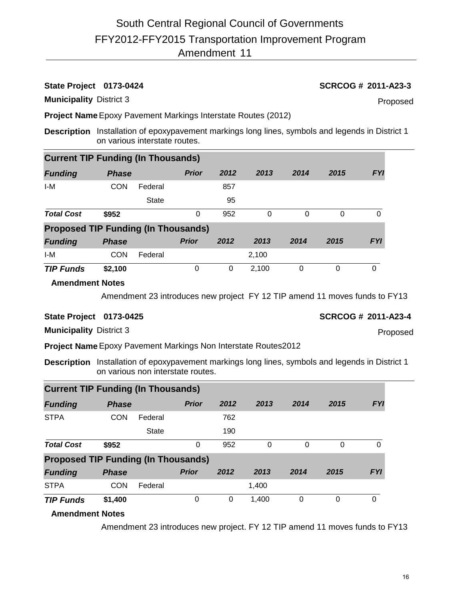**State Project 0173-0424 SCRCOG # 2011-A23-3**

**Municipality** District 3

Proposed

**Project Name**Epoxy Pavement Markings Interstate Routes (2012)

**Description** Installation of epoxypavement markings long lines, symbols and legends in District 1 on various interstate routes.

| <b>Current TIP Funding (In Thousands)</b>  |              |              |              |      |       |          |      |            |
|--------------------------------------------|--------------|--------------|--------------|------|-------|----------|------|------------|
| <b>Funding</b>                             | <b>Phase</b> |              | <b>Prior</b> | 2012 | 2013  | 2014     | 2015 | <b>FYI</b> |
| I-M                                        | <b>CON</b>   | Federal      |              | 857  |       |          |      |            |
|                                            |              | <b>State</b> |              | 95   |       |          |      |            |
| <b>Total Cost</b>                          | \$952        |              | 0            | 952  | 0     | 0        | 0    | 0          |
| <b>Proposed TIP Funding (In Thousands)</b> |              |              |              |      |       |          |      |            |
| <b>Funding</b>                             | <b>Phase</b> |              | <b>Prior</b> | 2012 | 2013  | 2014     | 2015 | <b>FYI</b> |
| I-M                                        | <b>CON</b>   | Federal      |              |      | 2,100 |          |      |            |
| <b>TIP Funds</b>                           | \$2,100      |              | 0            | 0    | 2,100 | $\Omega$ | 0    | 0          |

# **Amendment Notes**

Amendment 23 introduces new project FY 12 TIP amend 11 moves funds to FY13

# **State Project 0173-0425 SCRCOG # 2011-A23-4**

Proposed

**Municipality** District 3

**Project Name**Epoxy Pavement Markings Non Interstate Routes2012

**Description** Installation of epoxypavement markings long lines, symbols and legends in District 1 on various non interstate routes.

| <b>Current TIP Funding (In Thousands)</b> |                                            |              |              |      |       |      |          |            |
|-------------------------------------------|--------------------------------------------|--------------|--------------|------|-------|------|----------|------------|
| <b>Funding</b>                            | <b>Phase</b>                               |              | <b>Prior</b> | 2012 | 2013  | 2014 | 2015     | <b>FYI</b> |
| <b>STPA</b>                               | <b>CON</b>                                 | Federal      |              | 762  |       |      |          |            |
|                                           |                                            | <b>State</b> |              | 190  |       |      |          |            |
| <b>Total Cost</b>                         | \$952                                      |              | 0            | 952  | 0     | 0    | 0        | 0          |
|                                           | <b>Proposed TIP Funding (In Thousands)</b> |              |              |      |       |      |          |            |
| <b>Funding</b>                            | <b>Phase</b>                               |              | <b>Prior</b> | 2012 | 2013  | 2014 | 2015     | <b>FYI</b> |
| <b>STPA</b>                               | <b>CON</b>                                 | Federal      |              |      | 1.400 |      |          |            |
| <b>TIP Funds</b>                          | \$1,400                                    |              | 0            | 0    | 1,400 | 0    | $\Omega$ | 0          |

# **Amendment Notes**

Amendment 23 introduces new project. FY 12 TIP amend 11 moves funds to FY13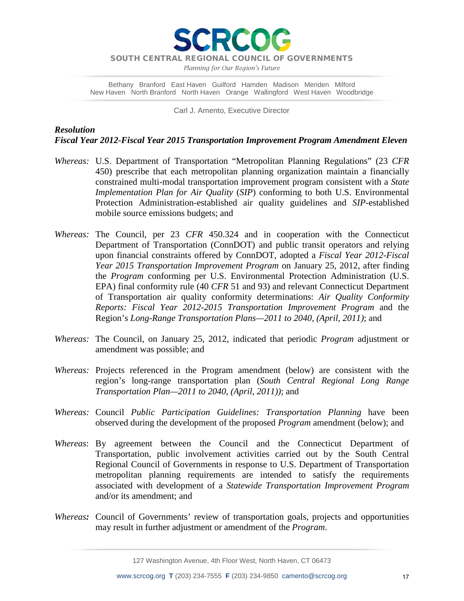

*Planning for Our Region's Future*

Bethany Branford East Haven Guilford Hamden Madison Meriden Milford New Haven North Branford North Haven Orange Wallingford West Haven Woodbridge

Carl J. Amento, Executive Director

# *Resolution Fiscal Year 2012-Fiscal Year 2015 Transportation Improvement Program Amendment Eleven*

- *Whereas:* U.S. Department of Transportation "Metropolitan Planning Regulations" (23 *CFR* 450) prescribe that each metropolitan planning organization maintain a financially constrained multi-modal transportation improvement program consistent with a *State Implementation Plan for Air Quality* (*SIP*) conforming to both U.S. Environmental Protection Administration-established air quality guidelines and *SIP*-established mobile source emissions budgets; and
- *Whereas:* The Council, per 23 *CFR* 450.324 and in cooperation with the Connecticut Department of Transportation (ConnDOT) and public transit operators and relying upon financial constraints offered by ConnDOT, adopted a *Fiscal Year 2012-Fiscal Year 2015 Transportation Improvement Program* on January 25, 2012, after finding the *Program* conforming per U.S. Environmental Protection Administration (U.S. EPA) final conformity rule (40 *CFR* 51 and 93) and relevant Connecticut Department of Transportation air quality conformity determinations: *Air Quality Conformity Reports: Fiscal Year 2012-2015 Transportation Improvement Program* and the Region's *Long-Range Transportation Plans—2011 to 2040, (April, 2011)*; and
- *Whereas:* The Council, on January 25, 2012, indicated that periodic *Program* adjustment or amendment was possible; and
- *Whereas:* Projects referenced in the Program amendment (below) are consistent with the region's long-range transportation plan (*South Central Regional Long Range Transportation Plan—2011 to 2040, (April, 2011))*; and
- *Whereas:* Council *Public Participation Guidelines: Transportation Planning* have been observed during the development of the proposed *Program* amendment (below); and
- *Whereas*: By agreement between the Council and the Connecticut Department of Transportation, public involvement activities carried out by the South Central Regional Council of Governments in response to U.S. Department of Transportation metropolitan planning requirements are intended to satisfy the requirements associated with development of a *Statewide Transportation Improvement Program* and/or its amendment; and
- *Whereas:* Council of Governments' review of transportation goals, projects and opportunities may result in further adjustment or amendment of the *Program*.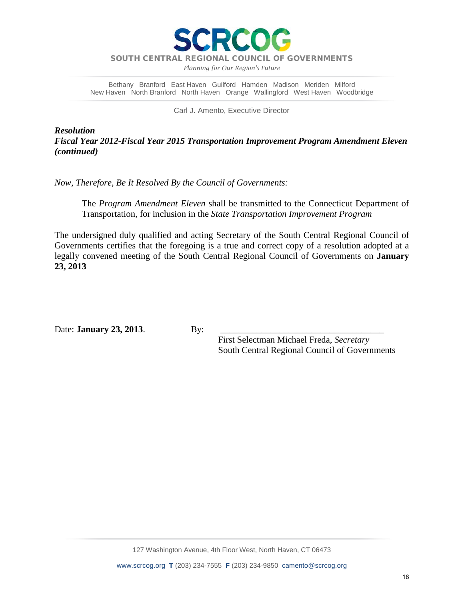

*Planning for Our Region's Future*

Bethany Branford East Haven Guilford Hamden Madison Meriden Milford New Haven North Branford North Haven Orange Wallingford West Haven Woodbridge

Carl J. Amento, Executive Director

*Resolution Fiscal Year 2012-Fiscal Year 2015 Transportation Improvement Program Amendment Eleven (continued)*

*Now, Therefore, Be It Resolved By the Council of Governments:*

The *Program Amendment Eleven* shall be transmitted to the Connecticut Department of Transportation, for inclusion in the *State Transportation Improvement Program*

The undersigned duly qualified and acting Secretary of the South Central Regional Council of Governments certifies that the foregoing is a true and correct copy of a resolution adopted at a legally convened meeting of the South Central Regional Council of Governments on **January 23, 2013**

Date: **January 23, 2013**. By:

 First Selectman Michael Freda, *Secretary* South Central Regional Council of Governments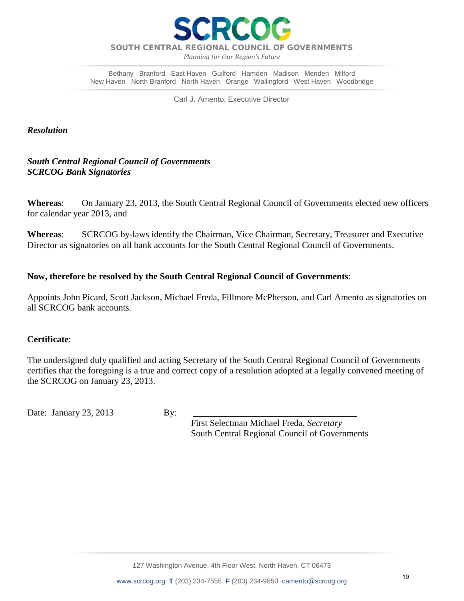

*Planning for Our Region's Future*

Bethany Branford East Haven Guilford Hamden Madison Meriden Milford New Haven North Branford North Haven Orange Wallingford West Haven Woodbridge

Carl J. Amento, Executive Director

# *Resolution*

*South Central Regional Council of Governments SCRCOG Bank Signatories*

**Whereas**: On January 23, 2013, the South Central Regional Council of Governments elected new officers for calendar year 2013, and

**Whereas**: SCRCOG by-laws identify the Chairman, Vice Chairman, Secretary, Treasurer and Executive Director as signatories on all bank accounts for the South Central Regional Council of Governments.

# **Now, therefore be resolved by the South Central Regional Council of Governments**:

Appoints John Picard, Scott Jackson, Michael Freda, Fillmore McPherson, and Carl Amento as signatories on all SCRCOG bank accounts.

# **Certificate**:

The undersigned duly qualified and acting Secretary of the South Central Regional Council of Governments certifies that the foregoing is a true and correct copy of a resolution adopted at a legally convened meeting of the SCRCOG on January 23, 2013.

Date: January 23, 2013 By:

 First Selectman Michael Freda, *Secretary* South Central Regional Council of Governments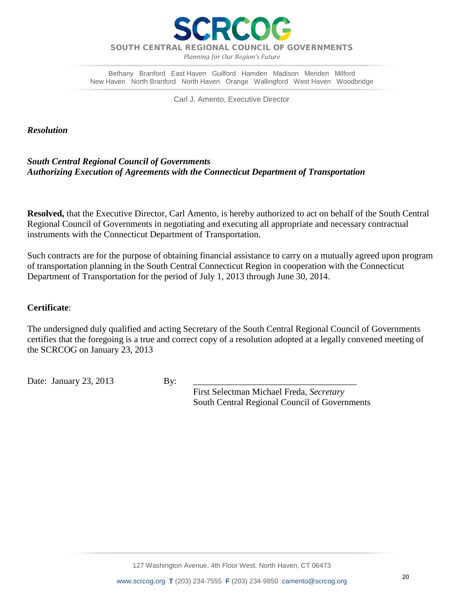

*Planning for Our Region's Future*

Bethany Branford East Haven Guilford Hamden Madison Meriden Milford New Haven North Branford North Haven Orange Wallingford West Haven Woodbridge

Carl J. Amento, Executive Director

*Resolution*

# *South Central Regional Council of Governments Authorizing Execution of Agreements with the Connecticut Department of Transportation*

**Resolved,** that the Executive Director, Carl Amento, is hereby authorized to act on behalf of the South Central Regional Council of Governments in negotiating and executing all appropriate and necessary contractual instruments with the Connecticut Department of Transportation.

Such contracts are for the purpose of obtaining financial assistance to carry on a mutually agreed upon program of transportation planning in the South Central Connecticut Region in cooperation with the Connecticut Department of Transportation for the period of July 1, 2013 through June 30, 2014.

# **Certificate**:

The undersigned duly qualified and acting Secretary of the South Central Regional Council of Governments certifies that the foregoing is a true and correct copy of a resolution adopted at a legally convened meeting of the SCRCOG on January 23, 2013

Date: January 23, 2013 By:

 First Selectman Michael Freda, *Secretary* South Central Regional Council of Governments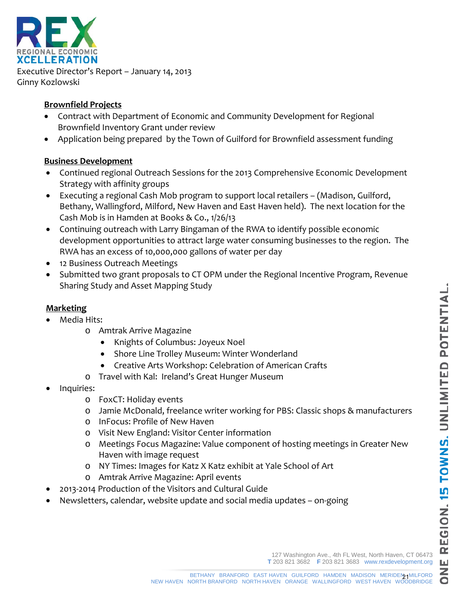$\bullet$ 



Executive Director's Report – January 14, 2013 Ginny Kozlowski

# **Brownfield Projects**

- Contract with Department of Economic and Community Development for Regional Brownfield Inventory Grant under review
- Application being prepared by the Town of Guilford for Brownfield assessment funding

# **Business Development**

- Continued regional Outreach Sessions for the 2013 Comprehensive Economic Development Strategy with affinity groups
- Executing a regional Cash Mob program to support local retailers (Madison, Guilford, Bethany, Wallingford, Milford, New Haven and East Haven held). The next location for the Cash Mob is in Hamden at Books & Co., 1/26/13
- Continuing outreach with Larry Bingaman of the RWA to identify possible economic development opportunities to attract large water consuming businesses to the region. The RWA has an excess of 10,000,000 gallons of water per day
- 12 Business Outreach Meetings
- Submitted two grant proposals to CT OPM under the Regional Incentive Program, Revenue Sharing Study and Asset Mapping Study

# **Marketing**

- Media Hits:
	- o Amtrak Arrive Magazine
		- Knights of Columbus: Joyeux Noel
		- Shore Line Trolley Museum: Winter Wonderland
		- Creative Arts Workshop: Celebration of American Crafts
	- o Travel with Kal: Ireland's Great Hunger Museum
- Inquiries:
	- o FoxCT: Holiday events
	- o Jamie McDonald, freelance writer working for PBS: Classic shops & manufacturers
	- o InFocus: Profile of New Haven
	- o Visit New England: Visitor Center information
	- o Meetings Focus Magazine: Value component of hosting meetings in Greater New Haven with image request
	- o NY Times: Images for Katz X Katz exhibit at Yale School of Art
	- o Amtrak Arrive Magazine: April events
- 2013-2014 Production of the Visitors and Cultural Guide
- Newsletters, calendar, website update and social media updates on-going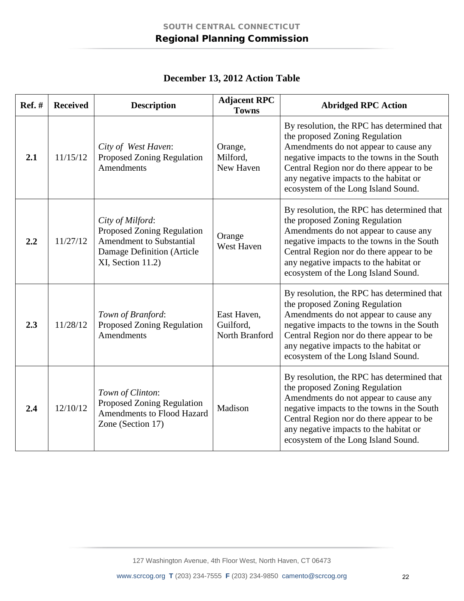| <b>Ref.</b> # | <b>Received</b> | <b>Description</b>                                                                                                                   | <b>Adjacent RPC</b><br><b>Towns</b>        | <b>Abridged RPC Action</b>                                                                                                                                                                                                                                                                       |
|---------------|-----------------|--------------------------------------------------------------------------------------------------------------------------------------|--------------------------------------------|--------------------------------------------------------------------------------------------------------------------------------------------------------------------------------------------------------------------------------------------------------------------------------------------------|
| 2.1           | 11/15/12        | City of West Haven:<br><b>Proposed Zoning Regulation</b><br><b>Amendments</b>                                                        | Orange,<br>Milford,<br>New Haven           | By resolution, the RPC has determined that<br>the proposed Zoning Regulation<br>Amendments do not appear to cause any<br>negative impacts to the towns in the South<br>Central Region nor do there appear to be<br>any negative impacts to the habitat or<br>ecosystem of the Long Island Sound. |
| 2.2           | 11/27/12        | City of Milford:<br><b>Proposed Zoning Regulation</b><br>Amendment to Substantial<br>Damage Definition (Article<br>XI, Section 11.2) | Orange<br>West Haven                       | By resolution, the RPC has determined that<br>the proposed Zoning Regulation<br>Amendments do not appear to cause any<br>negative impacts to the towns in the South<br>Central Region nor do there appear to be<br>any negative impacts to the habitat or<br>ecosystem of the Long Island Sound. |
| 2.3           | 11/28/12        | Town of Branford:<br><b>Proposed Zoning Regulation</b><br><b>Amendments</b>                                                          | East Haven,<br>Guilford,<br>North Branford | By resolution, the RPC has determined that<br>the proposed Zoning Regulation<br>Amendments do not appear to cause any<br>negative impacts to the towns in the South<br>Central Region nor do there appear to be<br>any negative impacts to the habitat or<br>ecosystem of the Long Island Sound. |
| 2.4           | 12/10/12        | Town of Clinton:<br>Proposed Zoning Regulation<br>Amendments to Flood Hazard<br>Zone (Section 17)                                    | Madison                                    | By resolution, the RPC has determined that<br>the proposed Zoning Regulation<br>Amendments do not appear to cause any<br>negative impacts to the towns in the South<br>Central Region nor do there appear to be<br>any negative impacts to the habitat or<br>ecosystem of the Long Island Sound. |

**December 13, 2012 Action Table**